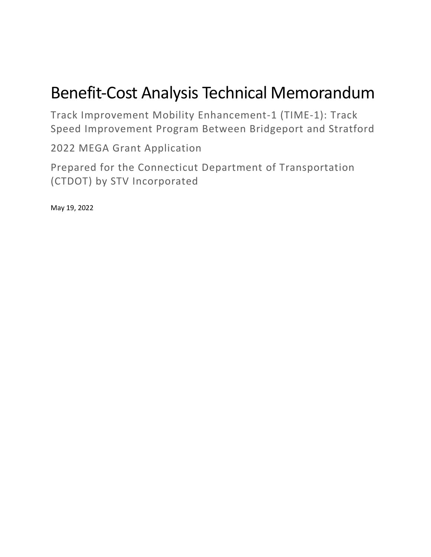# Benefit-Cost Analysis Technical Memorandum

Track Improvement Mobility Enhancement-1 (TIME-1): Track Speed Improvement Program Between Bridgeport and Stratford

2022 MEGA Grant Application

Prepared for the Connecticut Department of Transportation (CTDOT) by STV Incorporated

May 19, 2022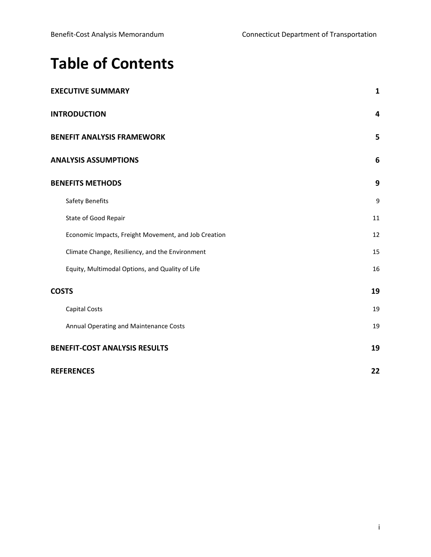# **Table of Contents**

| <b>EXECUTIVE SUMMARY</b>                             | $\mathbf{1}$ |
|------------------------------------------------------|--------------|
| <b>INTRODUCTION</b>                                  | 4            |
| <b>BENEFIT ANALYSIS FRAMEWORK</b>                    | 5            |
| <b>ANALYSIS ASSUMPTIONS</b>                          | 6            |
| <b>BENEFITS METHODS</b>                              | 9            |
| Safety Benefits                                      | 9            |
| State of Good Repair                                 | 11           |
| Economic Impacts, Freight Movement, and Job Creation | 12           |
| Climate Change, Resiliency, and the Environment      | 15           |
| Equity, Multimodal Options, and Quality of Life      | 16           |
| <b>COSTS</b>                                         | 19           |
| <b>Capital Costs</b>                                 | 19           |
| Annual Operating and Maintenance Costs               | 19           |
| <b>BENEFIT-COST ANALYSIS RESULTS</b>                 | 19           |
| <b>REFERENCES</b>                                    | 22           |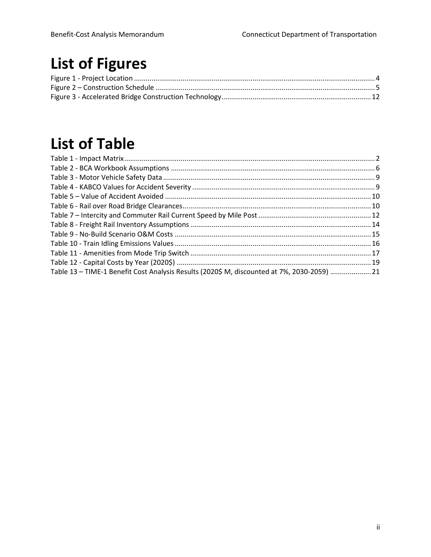# **List of Figures**

# **List of Table**

| Table 13 - TIME-1 Benefit Cost Analysis Results (2020\$ M, discounted at 7%, 2030-2059) 21 |  |
|--------------------------------------------------------------------------------------------|--|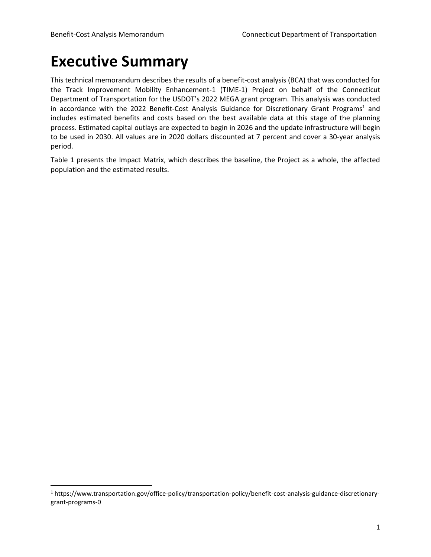# <span id="page-3-0"></span>**Executive Summary**

This technical memorandum describes the results of a benefit-cost analysis (BCA) that was conducted for the Track Improvement Mobility Enhancement-1 (TIME-1) Project on behalf of the Connecticut Department of Transportation for the USDOT's 2022 MEGA grant program. This analysis was conducted in accordance with the 2022 Benefit-Cost Analysis Guidance for Discretionary Grant Programs<sup>1</sup> and includes estimated benefits and costs based on the best available data at this stage of the planning process. Estimated capital outlays are expected to begin in 2026 and the update infrastructure will begin to be used in 2030. All values are in 2020 dollars discounted at 7 percent and cover a 30-year analysis period.

[Table](#page-4-0) 1 presents the Impact Matrix, which describes the baseline, the Project as a whole, the affected population and the estimated results.

<sup>1</sup> https://www.transportation.gov/office-policy/transportation-policy/benefit-cost-analysis-guidance-discretionarygrant-programs-0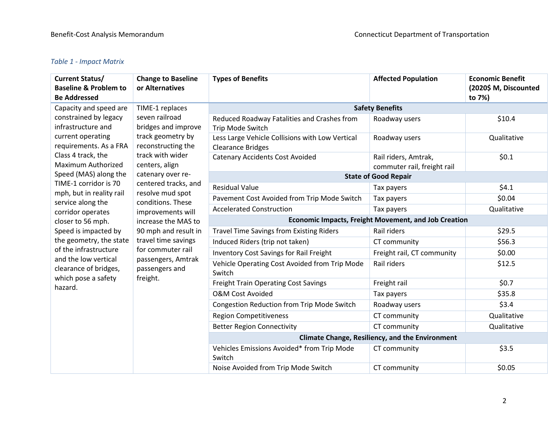#### *Table 1 - Impact Matrix*

<span id="page-4-0"></span>

| <b>Current Status/</b><br><b>Baseline &amp; Problem to</b><br><b>Be Addressed</b> | <b>Change to Baseline</b><br>or Alternatives                                     | <b>Types of Benefits</b>                                                    | <b>Affected Population</b>                          | <b>Economic Benefit</b><br>(2020\$ M, Discounted<br>to 7%) |  |  |
|-----------------------------------------------------------------------------------|----------------------------------------------------------------------------------|-----------------------------------------------------------------------------|-----------------------------------------------------|------------------------------------------------------------|--|--|
| Capacity and speed are                                                            | TIME-1 replaces                                                                  |                                                                             | <b>Safety Benefits</b>                              |                                                            |  |  |
| constrained by legacy<br>infrastructure and                                       | seven railroad<br>bridges and improve                                            | Reduced Roadway Fatalities and Crashes from<br>Trip Mode Switch             | Roadway users                                       | \$10.4                                                     |  |  |
| current operating<br>requirements. As a FRA                                       | track geometry by<br>reconstructing the                                          | Less Large Vehicle Collisions with Low Vertical<br><b>Clearance Bridges</b> | Roadway users                                       | Qualitative                                                |  |  |
| Class 4 track, the<br>Maximum Authorized                                          | track with wider<br>centers, align                                               | <b>Catenary Accidents Cost Avoided</b>                                      | Rail riders, Amtrak,<br>commuter rail, freight rail | \$0.1                                                      |  |  |
| Speed (MAS) along the                                                             | catenary over re-                                                                |                                                                             | <b>State of Good Repair</b>                         |                                                            |  |  |
| TIME-1 corridor is 70                                                             | centered tracks, and<br>resolve mud spot                                         | <b>Residual Value</b>                                                       | Tax payers                                          | \$4.1                                                      |  |  |
| mph, but in reality rail<br>service along the                                     | conditions. These                                                                | Pavement Cost Avoided from Trip Mode Switch                                 | Tax payers                                          | \$0.04                                                     |  |  |
| corridor operates                                                                 | improvements will                                                                | <b>Accelerated Construction</b>                                             | Tax payers                                          | Qualitative                                                |  |  |
| closer to 56 mph.                                                                 | increase the MAS to                                                              | <b>Economic Impacts, Freight Movement, and Job Creation</b>                 |                                                     |                                                            |  |  |
| Speed is impacted by                                                              | 90 mph and result in                                                             | <b>Travel Time Savings from Existing Riders</b>                             | Rail riders                                         | \$29.5                                                     |  |  |
| the geometry, the state                                                           | travel time savings<br>for commuter rail<br>passengers, Amtrak<br>passengers and | Induced Riders (trip not taken)                                             | CT community                                        | \$56.3                                                     |  |  |
| of the infrastructure                                                             |                                                                                  | <b>Inventory Cost Savings for Rail Freight</b>                              | Freight rail, CT community                          | \$0.00                                                     |  |  |
| and the low vertical<br>clearance of bridges,                                     |                                                                                  | Vehicle Operating Cost Avoided from Trip Mode<br>Switch                     | Rail riders                                         | \$12.5                                                     |  |  |
| which pose a safety<br>hazard.                                                    | freight.                                                                         | <b>Freight Train Operating Cost Savings</b>                                 | Freight rail                                        | \$0.7                                                      |  |  |
|                                                                                   |                                                                                  | <b>O&amp;M Cost Avoided</b>                                                 | Tax payers                                          | \$35.8                                                     |  |  |
|                                                                                   |                                                                                  | Congestion Reduction from Trip Mode Switch                                  | Roadway users                                       | \$3.4                                                      |  |  |
|                                                                                   |                                                                                  | <b>Region Competitiveness</b>                                               | CT community                                        | Qualitative                                                |  |  |
|                                                                                   |                                                                                  | <b>Better Region Connectivity</b>                                           | CT community                                        | Qualitative                                                |  |  |
|                                                                                   |                                                                                  | <b>Climate Change, Resiliency, and the Environment</b>                      |                                                     |                                                            |  |  |
|                                                                                   | Vehicles Emissions Avoided* from Trip Mode<br>Switch                             | CT community                                                                | \$3.5                                               |                                                            |  |  |
|                                                                                   |                                                                                  | Noise Avoided from Trip Mode Switch                                         | CT community                                        | \$0.05                                                     |  |  |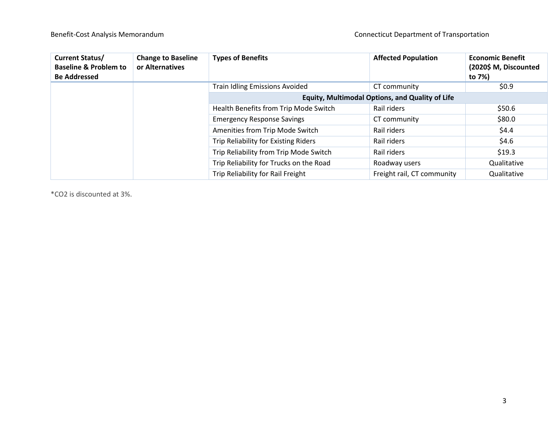| <b>Current Status/</b><br><b>Baseline &amp; Problem to</b><br><b>Be Addressed</b> | <b>Change to Baseline</b><br>or Alternatives | <b>Types of Benefits</b>                | <b>Affected Population</b>                      | <b>Economic Benefit</b><br>(2020\$ M, Discounted<br>to 7%) |
|-----------------------------------------------------------------------------------|----------------------------------------------|-----------------------------------------|-------------------------------------------------|------------------------------------------------------------|
|                                                                                   |                                              | <b>Train Idling Emissions Avoided</b>   | CT community                                    | \$0.9                                                      |
|                                                                                   |                                              |                                         | Equity, Multimodal Options, and Quality of Life |                                                            |
|                                                                                   |                                              | Health Benefits from Trip Mode Switch   | Rail riders                                     | \$50.6                                                     |
|                                                                                   |                                              | <b>Emergency Response Savings</b>       | CT community                                    | \$80.0                                                     |
|                                                                                   |                                              | Amenities from Trip Mode Switch         | Rail riders                                     | \$4.4                                                      |
|                                                                                   |                                              | Trip Reliability for Existing Riders    | Rail riders                                     | \$4.6\$                                                    |
|                                                                                   |                                              | Trip Reliability from Trip Mode Switch  | Rail riders                                     | \$19.3                                                     |
|                                                                                   |                                              | Trip Reliability for Trucks on the Road | Roadway users                                   | Qualitative                                                |
|                                                                                   |                                              | Trip Reliability for Rail Freight       | Freight rail, CT community                      | Qualitative                                                |

<span id="page-5-0"></span>\*CO2 is discounted at 3%.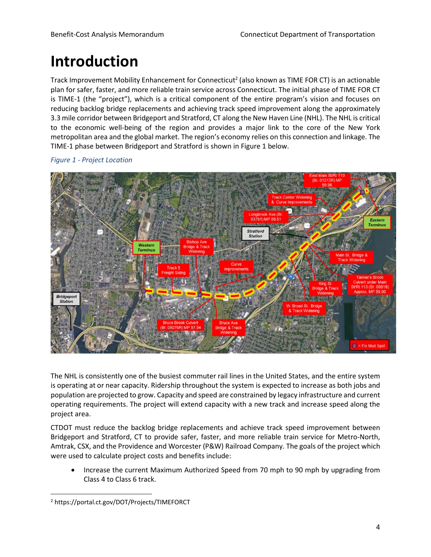# **Introduction**

Track Improvement Mobility Enhancement for Connecticut<sup>2</sup> (also known as TIME FOR CT) is an actionable plan for safer, faster, and more reliable train service across Connecticut. The initial phase of TIME FOR CT is TIME-1 (the "project"), which is a critical component of the entire program's vision and focuses on reducing backlog bridge replacements and achieving track speed improvement along the approximately 3.3 mile corridor between Bridgeport and Stratford, CT along the New Haven Line (NHL). The NHL is critical to the economic well-being of the region and provides a major link to the core of the New York metropolitan area and the global market. The region's economy relies on this connection and linkage. The TIME-1 phase between Bridgeport and Stratford is shown in [Figure](#page-6-0) 1 below.



<span id="page-6-0"></span>*Figure 1 - Project Location*

The NHL is consistently one of the busiest commuter rail lines in the United States, and the entire system is operating at or near capacity. Ridership throughout the system is expected to increase as both jobs and population are projected to grow. Capacity and speed are constrained by legacy infrastructure and current operating requirements. The project will extend capacity with a new track and increase speed along the project area.

CTDOT must reduce the backlog bridge replacements and achieve track speed improvement between Bridgeport and Stratford, CT to provide safer, faster, and more reliable train service for Metro-North, Amtrak, CSX, and the Providence and Worcester (P&W) Railroad Company. The goals of the project which were used to calculate project costs and benefits include:

• Increase the current Maximum Authorized Speed from 70 mph to 90 mph by upgrading from Class 4 to Class 6 track.

<sup>2</sup> https://portal.ct.gov/DOT/Projects/TIMEFORCT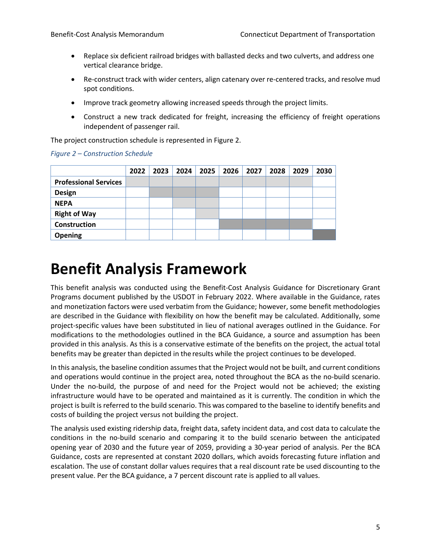- Replace six deficient railroad bridges with ballasted decks and two culverts, and address one vertical clearance bridge.
- Re-construct track with wider centers, align catenary over re-centered tracks, and resolve mud spot conditions.
- Improve track geometry allowing increased speeds through the project limits.
- Construct a new track dedicated for freight, increasing the efficiency of freight operations independent of passenger rail.

The project construction schedule is represented in Figure 2.

#### <span id="page-7-1"></span>*Figure 2 – Construction Schedule*

|                              | 2022 | 2023 | 2024 | 2025 | 2026 | 2027 | 2028 | 2029 | 2030 |
|------------------------------|------|------|------|------|------|------|------|------|------|
| <b>Professional Services</b> |      |      |      |      |      |      |      |      |      |
| <b>Design</b>                |      |      |      |      |      |      |      |      |      |
| <b>NEPA</b>                  |      |      |      |      |      |      |      |      |      |
| <b>Right of Way</b>          |      |      |      |      |      |      |      |      |      |
| <b>Construction</b>          |      |      |      |      |      |      |      |      |      |
| <b>Opening</b>               |      |      |      |      |      |      |      |      |      |

# <span id="page-7-0"></span>**Benefit Analysis Framework**

This benefit analysis was conducted using the Benefit-Cost Analysis Guidance for Discretionary Grant Programs document published by the USDOT in February 2022. Where available in the Guidance, rates and monetization factors were used verbatim from the Guidance; however, some benefit methodologies are described in the Guidance with flexibility on how the benefit may be calculated. Additionally, some project-specific values have been substituted in lieu of national averages outlined in the Guidance. For modifications to the methodologies outlined in the BCA Guidance, a source and assumption has been provided in this analysis. As this is a conservative estimate of the benefits on the project, the actual total benefits may be greater than depicted in the results while the project continues to be developed.

In this analysis, the baseline condition assumes that the Project would not be built, and current conditions and operations would continue in the project area, noted throughout the BCA as the no-build scenario. Under the no-build, the purpose of and need for the Project would not be achieved; the existing infrastructure would have to be operated and maintained as it is currently. The condition in which the project is built is referred to the build scenario. This was compared to the baseline to identify benefits and costs of building the project versus not building the project.

The analysis used existing ridership data, freight data, safety incident data, and cost data to calculate the conditions in the no-build scenario and comparing it to the build scenario between the anticipated opening year of 2030 and the future year of 2059, providing a 30-year period of analysis. Per the BCA Guidance, costs are represented at constant 2020 dollars, which avoids forecasting future inflation and escalation. The use of constant dollar values requires that a real discount rate be used discounting to the present value. Per the BCA guidance, a 7 percent discount rate is applied to all values.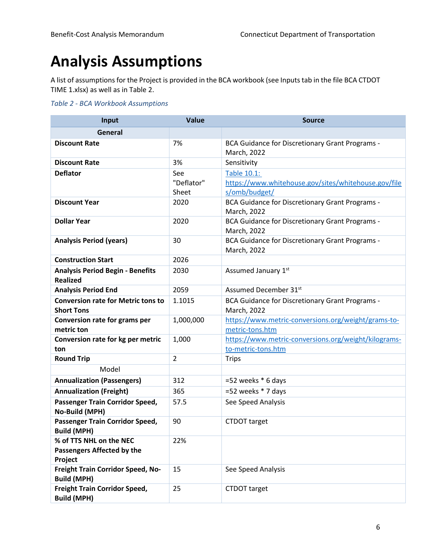# <span id="page-8-0"></span>**Analysis Assumptions**

A list of assumptions for the Project is provided in the BCA workbook (see Inputs tab in the file BCA CTDOT TIME 1.xlsx) as well as in [Table](#page-8-1) 2.

<span id="page-8-1"></span>*Table 2 - BCA Workbook Assumptions*

| Input                                                            | Value                      | <b>Source</b>                                                                        |  |  |
|------------------------------------------------------------------|----------------------------|--------------------------------------------------------------------------------------|--|--|
| General                                                          |                            |                                                                                      |  |  |
| <b>Discount Rate</b>                                             | 7%                         | BCA Guidance for Discretionary Grant Programs -<br>March, 2022                       |  |  |
| <b>Discount Rate</b>                                             | 3%                         | Sensitivity                                                                          |  |  |
| <b>Deflator</b>                                                  | See<br>"Deflator"<br>Sheet | Table 10.1:<br>https://www.whitehouse.gov/sites/whitehouse.gov/file<br>s/omb/budget/ |  |  |
| <b>Discount Year</b>                                             | 2020                       | BCA Guidance for Discretionary Grant Programs -<br>March, 2022                       |  |  |
| <b>Dollar Year</b>                                               | 2020                       | BCA Guidance for Discretionary Grant Programs -<br>March, 2022                       |  |  |
| <b>Analysis Period (years)</b>                                   | 30                         | BCA Guidance for Discretionary Grant Programs -<br>March, 2022                       |  |  |
| <b>Construction Start</b>                                        | 2026                       |                                                                                      |  |  |
| <b>Analysis Period Begin - Benefits</b><br><b>Realized</b>       | 2030                       | Assumed January 1st                                                                  |  |  |
| <b>Analysis Period End</b>                                       | 2059                       | Assumed December 31st                                                                |  |  |
| <b>Conversion rate for Metric tons to</b><br><b>Short Tons</b>   | 1.1015                     | BCA Guidance for Discretionary Grant Programs -<br>March, 2022                       |  |  |
| Conversion rate for grams per<br>metric ton                      | 1,000,000                  | https://www.metric-conversions.org/weight/grams-to-<br>metric-tons.htm               |  |  |
| Conversion rate for kg per metric<br>ton                         | 1,000                      | https://www.metric-conversions.org/weight/kilograms-<br>to-metric-tons.htm           |  |  |
| <b>Round Trip</b>                                                | $\overline{2}$             | <b>Trips</b>                                                                         |  |  |
| Model                                                            |                            |                                                                                      |  |  |
| <b>Annualization (Passengers)</b>                                | 312                        | =52 weeks $*$ 6 days                                                                 |  |  |
| <b>Annualization (Freight)</b>                                   | 365                        | =52 weeks $*$ 7 days                                                                 |  |  |
| Passenger Train Corridor Speed,<br>No-Build (MPH)                | 57.5                       | See Speed Analysis                                                                   |  |  |
| Passenger Train Corridor Speed,<br><b>Build (MPH)</b>            | 90                         | CTDOT target                                                                         |  |  |
| % of TTS NHL on the NEC<br>Passengers Affected by the<br>Project | 22%                        |                                                                                      |  |  |
| Freight Train Corridor Speed, No-<br><b>Build (MPH)</b>          | 15                         | See Speed Analysis                                                                   |  |  |
| <b>Freight Train Corridor Speed,</b><br><b>Build (MPH)</b>       | 25                         | <b>CTDOT</b> target                                                                  |  |  |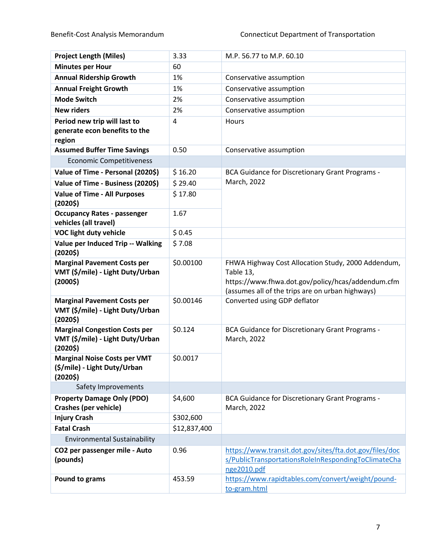| <b>Project Length (Miles)</b>                                                       | 3.33           | M.P. 56.77 to M.P. 60.10                                                                                                                                                 |
|-------------------------------------------------------------------------------------|----------------|--------------------------------------------------------------------------------------------------------------------------------------------------------------------------|
| <b>Minutes per Hour</b>                                                             | 60             |                                                                                                                                                                          |
| <b>Annual Ridership Growth</b>                                                      | 1%             | Conservative assumption                                                                                                                                                  |
| <b>Annual Freight Growth</b>                                                        | 1%             | Conservative assumption                                                                                                                                                  |
| <b>Mode Switch</b>                                                                  | 2%             | Conservative assumption                                                                                                                                                  |
| <b>New riders</b>                                                                   | 2%             | Conservative assumption                                                                                                                                                  |
| Period new trip will last to                                                        | $\overline{4}$ | <b>Hours</b>                                                                                                                                                             |
| generate econ benefits to the                                                       |                |                                                                                                                                                                          |
| region                                                                              |                |                                                                                                                                                                          |
| <b>Assumed Buffer Time Savings</b>                                                  | 0.50           | Conservative assumption                                                                                                                                                  |
| <b>Economic Competitiveness</b>                                                     |                |                                                                                                                                                                          |
| Value of Time - Personal (2020\$)                                                   | \$16.20        | BCA Guidance for Discretionary Grant Programs -                                                                                                                          |
| Value of Time - Business (2020\$)                                                   | \$29.40        | March, 2022                                                                                                                                                              |
| <b>Value of Time - All Purposes</b><br>(20205)                                      | \$17.80        |                                                                                                                                                                          |
| <b>Occupancy Rates - passenger</b><br>vehicles (all travel)                         | 1.67           |                                                                                                                                                                          |
| VOC light duty vehicle                                                              | \$0.45         |                                                                                                                                                                          |
| Value per Induced Trip -- Walking<br>(20205)                                        | \$7.08         |                                                                                                                                                                          |
| <b>Marginal Pavement Costs per</b><br>VMT (\$/mile) - Light Duty/Urban<br>(20005)   | \$0.00100      | FHWA Highway Cost Allocation Study, 2000 Addendum,<br>Table 13,<br>https://www.fhwa.dot.gov/policy/hcas/addendum.cfm<br>(assumes all of the trips are on urban highways) |
| <b>Marginal Pavement Costs per</b><br>VMT (\$/mile) - Light Duty/Urban<br>(20205)   | \$0.00146      | Converted using GDP deflator                                                                                                                                             |
| <b>Marginal Congestion Costs per</b><br>VMT (\$/mile) - Light Duty/Urban<br>(20205) | \$0.124        | <b>BCA Guidance for Discretionary Grant Programs -</b><br>March, 2022                                                                                                    |
| <b>Marginal Noise Costs per VMT</b><br>(\$/mile) - Light Duty/Urban<br>(20205)      | \$0.0017       |                                                                                                                                                                          |
| Safety Improvements                                                                 |                |                                                                                                                                                                          |
| <b>Property Damage Only (PDO)</b><br><b>Crashes (per vehicle)</b>                   | \$4,600        | BCA Guidance for Discretionary Grant Programs -<br>March, 2022                                                                                                           |
| <b>Injury Crash</b>                                                                 | \$302,600      |                                                                                                                                                                          |
| <b>Fatal Crash</b>                                                                  | \$12,837,400   |                                                                                                                                                                          |
| <b>Environmental Sustainability</b>                                                 |                |                                                                                                                                                                          |
| CO2 per passenger mile - Auto<br>(pounds)                                           | 0.96           | https://www.transit.dot.gov/sites/fta.dot.gov/files/doc<br>s/PublicTransportationsRoleInRespondingToClimateCha<br>nge2010.pdf                                            |
| Pound to grams                                                                      | 453.59         | https://www.rapidtables.com/convert/weight/pound-<br>to-gram.html                                                                                                        |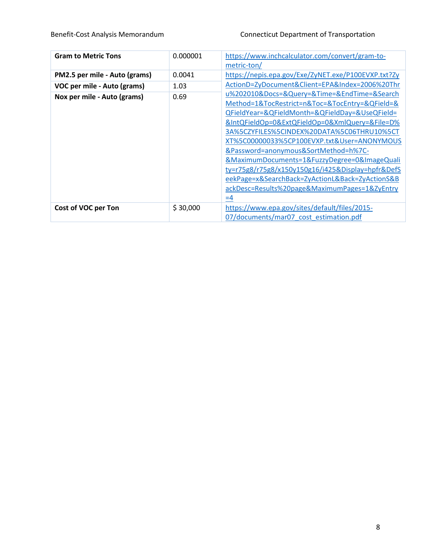#### Benefit-Cost Analysis Memorandum Connecticut Department of Transportation

| <b>Gram to Metric Tons</b>    | 0.000001 | https://www.inchcalculator.com/convert/gram-to-<br>metric-ton/                                                                                                                                                                                                                                                                                                                                                                                                                                                                                          |
|-------------------------------|----------|---------------------------------------------------------------------------------------------------------------------------------------------------------------------------------------------------------------------------------------------------------------------------------------------------------------------------------------------------------------------------------------------------------------------------------------------------------------------------------------------------------------------------------------------------------|
| PM2.5 per mile - Auto (grams) | 0.0041   | https://nepis.epa.gov/Exe/ZyNET.exe/P100EVXP.txt?Zy                                                                                                                                                                                                                                                                                                                                                                                                                                                                                                     |
| VOC per mile - Auto (grams)   | 1.03     | ActionD=ZyDocument&Client=EPA&Index=2006%20Thr                                                                                                                                                                                                                                                                                                                                                                                                                                                                                                          |
| Nox per mile - Auto (grams)   | 0.69     | u%202010&Docs=&Query=&Time=&EndTime=&Search<br>Method=1&TocRestrict=n&Toc=&TocEntry=&QField=&<br>QFieldYear=&QFieldMonth=&QFieldDay=&UseQField=<br>&IntQFieldOp=0&ExtQFieldOp=0&XmlQuery=&File=D%<br>3A%5CZYFILES%5CINDEX%20DATA%5C06THRU10%5CT<br>XT%5C00000033%5CP100EVXP.txt&User=ANONYMOUS<br>&Password=anonymous&SortMethod=h%7C-<br>&MaximumDocuments=1&FuzzyDegree=0&ImageQuali<br>ty=r75g8/r75g8/x150y150g16/i425&Display=hpfr&DefS<br>eekPage=x&SearchBack=ZyActionL&Back=ZyActionS&B<br>ackDesc=Results%20page&MaximumPages=1&ZyEntry<br>$=4$ |
| Cost of VOC per Ton           | \$30,000 | https://www.epa.gov/sites/default/files/2015-<br>07/documents/mar07 cost estimation.pdf                                                                                                                                                                                                                                                                                                                                                                                                                                                                 |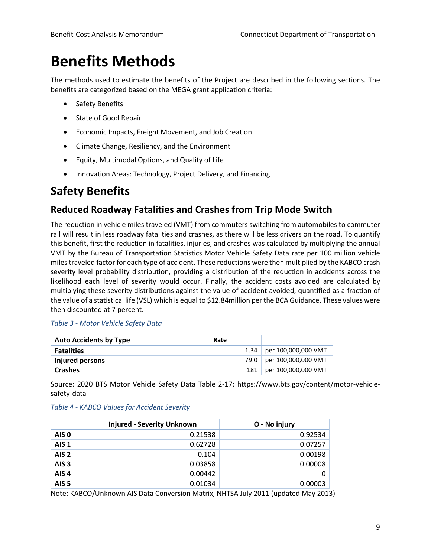# <span id="page-11-0"></span>**Benefits Methods**

The methods used to estimate the benefits of the Project are described in the following sections. The benefits are categorized based on the MEGA grant application criteria:

- Safety Benefits
- State of Good Repair
- Economic Impacts, Freight Movement, and Job Creation
- Climate Change, Resiliency, and the Environment
- Equity, Multimodal Options, and Quality of Life
- Innovation Areas: Technology, Project Delivery, and Financing

## <span id="page-11-1"></span>**Safety Benefits**

#### **Reduced Roadway Fatalities and Crashes from Trip Mode Switch**

The reduction in vehicle miles traveled (VMT) from commuters switching from automobiles to commuter rail will result in less roadway fatalities and crashes, as there will be less drivers on the road. To quantify this benefit, first the reduction in fatalities, injuries, and crashes was calculated by multiplying the annual VMT by the Bureau of Transportation Statistics Motor Vehicle Safety Data rate per 100 million vehicle milestraveled factor for each type of accident. These reductions were then multiplied by the KABCO crash severity level probability distribution, providing a distribution of the reduction in accidents across the likelihood each level of severity would occur. Finally, the accident costs avoided are calculated by multiplying these severity distributions against the value of accident avoided, quantified as a fraction of the value of a statistical life (VSL) which is equal to \$12.84million per the BCA Guidance. These values were then discounted at 7 percent.

<span id="page-11-2"></span>

|  | Table 3 - Motor Vehicle Safety Data |  |
|--|-------------------------------------|--|
|--|-------------------------------------|--|

| <b>Auto Accidents by Type</b> | Rate |                     |
|-------------------------------|------|---------------------|
| <b>Fatalities</b>             | 1.34 | per 100,000,000 VMT |
| Injured persons               | 79.0 | per 100,000,000 VMT |
| <b>Crashes</b>                | 181  | per 100,000,000 VMT |

Source: 2020 BTS Motor Vehicle Safety Data Table 2-17; https://www.bts.gov/content/motor-vehiclesafety-data

|                  | <b>Injured - Severity Unknown</b> | O - No injury |
|------------------|-----------------------------------|---------------|
| AIS 0            | 0.21538                           | 0.92534       |
| AIS <sub>1</sub> | 0.62728                           | 0.07257       |
| AIS <sub>2</sub> | 0.104                             | 0.00198       |
| AIS <sub>3</sub> | 0.03858                           | 0.00008       |
| AIS <sub>4</sub> | 0.00442                           |               |
| AIS <sub>5</sub> | 0.01034                           | 0.00003       |

<span id="page-11-3"></span>*Table 4 - KABCO Values for Accident Severity*

Note: KABCO/Unknown AIS Data Conversion Matrix, NHTSA July 2011 (updated May 2013)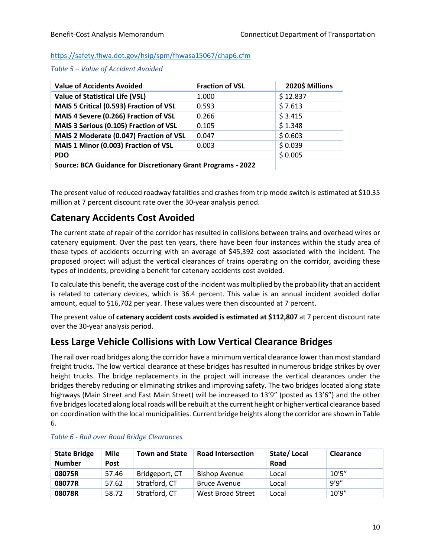#### <https://safety.fhwa.dot.gov/hsip/spm/fhwasa15067/chap6.cfm>

#### <span id="page-12-0"></span>*Table 5 – Value of Accident Avoided*

| <b>Value of Accidents Avoided</b>                            | <b>Fraction of VSL</b> | 2020\$ Millions |
|--------------------------------------------------------------|------------------------|-----------------|
| <b>Value of Statistical Life (VSL)</b>                       | 1.000                  | \$12.837        |
| MAIS 5 Critical (0.593) Fraction of VSL                      | 0.593                  | \$7.613         |
| MAIS 4 Severe (0.266) Fraction of VSL                        | 0.266                  | \$3.415         |
| MAIS 3 Serious (0.105) Fraction of VSL                       | 0.105                  | \$1.348         |
| MAIS 2 Moderate (0.047) Fraction of VSL                      | 0.047                  | \$0.603         |
| MAIS 1 Minor (0.003) Fraction of VSL                         | 0.003                  | \$0.039         |
| <b>PDO</b>                                                   |                        | \$0.005         |
| Source: BCA Guidance for Discretionary Grant Programs - 2022 |                        |                 |

The present value of reduced roadway fatalities and crashes from trip mode switch is estimated at \$10.35 million at 7 percent discount rate over the 30-year analysis period.

#### **Catenary Accidents Cost Avoided**

The current state of repair of the corridor has resulted in collisions between trains and overhead wires or catenary equipment. Over the past ten years, there have been four instances within the study area of these types of accidents occurring with an average of \$45,392 cost associated with the incident. The proposed project will adjust the vertical clearances of trains operating on the corridor, avoiding these types of incidents, providing a benefit for catenary accidents cost avoided.

To calculate this benefit, the average cost of the incident was multiplied by the probability that an accident is related to catenary devices, which is 36.4 percent. This value is an annual incident avoided dollar amount, equal to \$16,702 per year. These values were then discounted at 7 percent.

The present value of **catenary accident costs avoided is estimated at \$112,807** at 7 percent discount rate over the 30-year analysis period.

#### **Less Large Vehicle Collisions with Low Vertical Clearance Bridges**

The rail over road bridges along the corridor have a minimum vertical clearance lower than most standard freight trucks. The low vertical clearance at these bridges has resulted in numerous bridge strikes by over height trucks. The bridge replacements in the project will increase the vertical clearances under the bridges thereby reducing or eliminating strikes and improving safety. The two bridges located along state highways (Main Street and East Main Street) will be increased to 13'9" (posted as 13'6") and the other five bridges located along local roads will be rebuilt at the current height or higher vertical clearance based on coordination with the local municipalities. Current bridge heights along the corridor are shown in [Table](#page-12-1) [6.](#page-12-1)

| <b>State Bridge</b><br><b>Number</b> | Mile<br><b>Post</b> | <b>Town and State</b> | <b>Road Intersection</b> | State/Local<br>Road | <b>Clearance</b> |
|--------------------------------------|---------------------|-----------------------|--------------------------|---------------------|------------------|
| 08075R                               | 57.46               | Bridgeport, CT        | <b>Bishop Avenue</b>     | Local               | 10'5''           |
| 08077R                               | 57.62               | Stratford, CT         | <b>Bruce Avenue</b>      | Local               | q'q''            |
| 08078R                               | 58.72               | Stratford, CT         | <b>West Broad Street</b> | Local               | 10'9''           |

#### <span id="page-12-1"></span>*Table 6 - Rail over Road Bridge Clearances*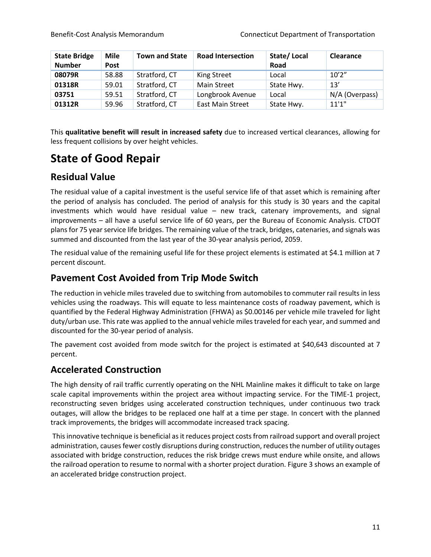| <b>State Bridge</b><br><b>Number</b> | Mile<br><b>Post</b> | <b>Town and State</b> | <b>Road Intersection</b> | State/Local<br>Road | <b>Clearance</b>               |
|--------------------------------------|---------------------|-----------------------|--------------------------|---------------------|--------------------------------|
| 08079R                               | 58.88               | Stratford, CT         | King Street              | Local               | 10'2''                         |
| 01318R                               | 59.01               | Stratford, CT         | <b>Main Street</b>       | State Hwy.          | 13'                            |
| 03751                                | 59.51               | Stratford, CT         | Longbrook Avenue         | Local               | $N/A$ (Overpass) $\frac{1}{2}$ |
| 01312R                               | 59.96               | Stratford, CT         | <b>East Main Street</b>  | State Hwy.          | 11'1''                         |

This **qualitative benefit will result in increased safety** due to increased vertical clearances, allowing for less frequent collisions by over height vehicles.

## <span id="page-13-0"></span>**State of Good Repair**

## **Residual Value**

The residual value of a capital investment is the useful service life of that asset which is remaining after the period of analysis has concluded. The period of analysis for this study is 30 years and the capital investments which would have residual value – new track, catenary improvements, and signal improvements – all have a useful service life of 60 years, per the Bureau of Economic Analysis. CTDOT plans for 75 year service life bridges. The remaining value of the track, bridges, catenaries, and signals was summed and discounted from the last year of the 30-year analysis period, 2059.

The residual value of the remaining useful life for these project elements is estimated at \$4.1 million at 7 percent discount.

#### **Pavement Cost Avoided from Trip Mode Switch**

The reduction in vehicle miles traveled due to switching from automobiles to commuter rail results in less vehicles using the roadways. This will equate to less maintenance costs of roadway pavement, which is quantified by the Federal Highway Administration (FHWA) as \$0.00146 per vehicle mile traveled for light duty/urban use. Thisrate was applied to the annual vehicle milestraveled for each year, and summed and discounted for the 30-year period of analysis.

The pavement cost avoided from mode switch for the project is estimated at \$40,643 discounted at 7 percent.

## **Accelerated Construction**

The high density of rail traffic currently operating on the NHL Mainline makes it difficult to take on large scale capital improvements within the project area without impacting service. For the TIME-1 project, reconstructing seven bridges using accelerated construction techniques, under continuous two track outages, will allow the bridges to be replaced one half at a time per stage. In concert with the planned track improvements, the bridges will accommodate increased track spacing.

This innovative technique is beneficial as it reduces project costs from railroad support and overall project administration, causes fewer costly disruptions during construction, reduces the number of utility outages associated with bridge construction, reduces the risk bridge crews must endure while onsite, and allows the railroad operation to resume to normal with a shorter project duration. [Figure 3](#page-14-1) shows an example of an accelerated bridge construction project.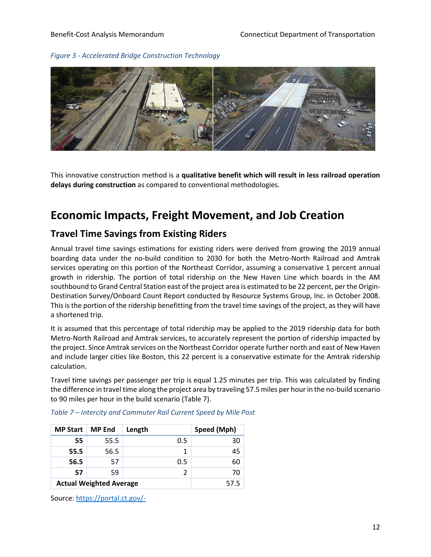#### <span id="page-14-1"></span>*Figure 3 - Accelerated Bridge Construction Technology*



This innovative construction method is a **qualitative benefit which will result in less railroad operation delays during construction** as compared to conventional methodologies.

## <span id="page-14-0"></span>**Economic Impacts, Freight Movement, and Job Creation**

#### **Travel Time Savings from Existing Riders**

Annual travel time savings estimations for existing riders were derived from growing the 2019 annual boarding data under the no-build condition to 2030 for both the Metro-North Railroad and Amtrak services operating on this portion of the Northeast Corridor, assuming a conservative 1 percent annual growth in ridership. The portion of total ridership on the New Haven Line which boards in the AM southbound to Grand Central Station east of the project area is estimated to be 22 percent, per the Origin-Destination Survey/Onboard Count Report conducted by Resource Systems Group, Inc. in October 2008. This is the portion of the ridership benefitting from the travel time savings of the project, as they will have a shortened trip.

It is assumed that this percentage of total ridership may be applied to the 2019 ridership data for both Metro-North Railroad and Amtrak services, to accurately represent the portion of ridership impacted by the project. Since Amtrak services on the Northeast Corridor operate further north and east of New Haven and include larger cities like Boston, this 22 percent is a conservative estimate for the Amtrak ridership calculation.

Travel time savings per passenger per trip is equal 1.25 minutes per trip. This was calculated by finding the difference in travel time along the project area by traveling 57.5 miles per hourin the no-build scenario to 90 miles per hour in the build scenario [\(Table 7\)](#page-14-2).

| <b>MP Start</b>                | <b>MP End</b> | Length | Speed (Mph) |
|--------------------------------|---------------|--------|-------------|
| 55                             | 55.5          | 0.5    | 30          |
| 55.5                           | 56.5          | 1      | 45          |
| 56.5                           | 57            | 0.5    | 60          |
| 57                             | 59            | 2      | 70          |
| <b>Actual Weighted Average</b> | 57.5          |        |             |

#### <span id="page-14-2"></span>*Table 7 – Intercity and Commuter Rail Current Speed by Mile Post*

Source: [https://portal.ct.gov/-](https://portal.ct.gov/-/media/DOT/documents/dprojects/TimeForCT/NHL_Capacity_and_Speed_FINAL_Report_062321v2.pdf)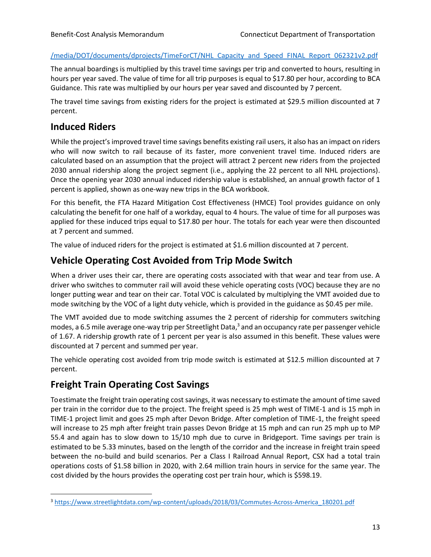#### [/media/DOT/documents/dprojects/TimeForCT/NHL\\_Capacity\\_and\\_Speed\\_FINAL\\_Report\\_062321v2.pdf](https://portal.ct.gov/-/media/DOT/documents/dprojects/TimeForCT/NHL_Capacity_and_Speed_FINAL_Report_062321v2.pdf)

The annual boardings is multiplied by this travel time savings per trip and converted to hours, resulting in hours per year saved. The value of time for all trip purposes is equal to \$17.80 per hour, according to BCA Guidance. This rate was multiplied by our hours per year saved and discounted by 7 percent.

The travel time savings from existing riders for the project is estimated at \$29.5 million discounted at 7 percent.

#### **Induced Riders**

While the project's improved travel time savings benefits existing rail users, it also has an impact on riders who will now switch to rail because of its faster, more convenient travel time. Induced riders are calculated based on an assumption that the project will attract 2 percent new riders from the projected 2030 annual ridership along the project segment (i.e., applying the 22 percent to all NHL projections). Once the opening year 2030 annual induced ridership value is established, an annual growth factor of 1 percent is applied, shown as one-way new trips in the BCA workbook.

For this benefit, the FTA Hazard Mitigation Cost Effectiveness (HMCE) Tool provides guidance on only calculating the benefit for one half of a workday, equal to 4 hours. The value of time for all purposes was applied for these induced trips equal to \$17.80 per hour. The totals for each year were then discounted at 7 percent and summed.

The value of induced riders for the project is estimated at \$1.6 million discounted at 7 percent.

## **Vehicle Operating Cost Avoided from Trip Mode Switch**

When a driver uses their car, there are operating costs associated with that wear and tear from use. A driver who switches to commuter rail will avoid these vehicle operating costs (VOC) because they are no longer putting wear and tear on their car. Total VOC is calculated by multiplying the VMT avoided due to mode switching by the VOC of a light duty vehicle, which is provided in the guidance as \$0.45 per mile.

The VMT avoided due to mode switching assumes the 2 percent of ridership for commuters switching modes, a 6.5 mile average one-way trip per Streetlight Data,<sup>3</sup> and an occupancy rate per passenger vehicle of 1.67. A ridership growth rate of 1 percent per year is also assumed in this benefit. These values were discounted at 7 percent and summed per year.

The vehicle operating cost avoided from trip mode switch is estimated at \$12.5 million discounted at 7 percent.

## **Freight Train Operating Cost Savings**

To estimate the freight train operating cost savings, it was necessary to estimate the amount of time saved per train in the corridor due to the project. The freight speed is 25 mph west of TIME-1 and is 15 mph in TIME-1 project limit and goes 25 mph after Devon Bridge. After completion of TIME-1, the freight speed will increase to 25 mph after freight train passes Devon Bridge at 15 mph and can run 25 mph up to MP 55.4 and again has to slow down to 15/10 mph due to curve in Bridgeport. Time savings per train is estimated to be 5.33 minutes, based on the length of the corridor and the increase in freight train speed between the no-build and build scenarios. Per a Class I Railroad Annual Report, CSX had a total train operations costs of \$1.58 billion in 2020, with 2.64 million train hours in service for the same year. The cost divided by the hours provides the operating cost per train hour, which is \$598.19.

<sup>3</sup> [https://www.streetlightdata.com/wp-content/uploads/2018/03/Commutes-Across-America\\_180201.pdf](https://www.streetlightdata.com/wp-content/uploads/2018/03/Commutes-Across-America_180201.pdf)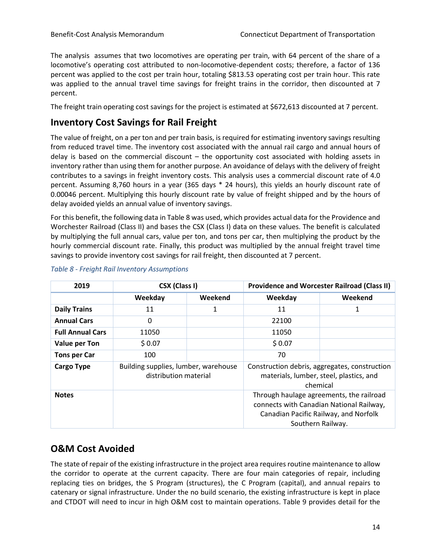The analysis assumes that two locomotives are operating per train, with 64 percent of the share of a locomotive's operating cost attributed to non-locomotive-dependent costs; therefore, a factor of 136 percent was applied to the cost per train hour, totaling \$813.53 operating cost per train hour. This rate was applied to the annual travel time savings for freight trains in the corridor, then discounted at 7 percent.

The freight train operating cost savings for the project is estimated at \$672,613 discounted at 7 percent.

## **Inventory Cost Savings for Rail Freight**

The value of freight, on a per ton and per train basis, is required for estimating inventory savings resulting from reduced travel time. The inventory cost associated with the annual rail cargo and annual hours of delay is based on the commercial discount  $-$  the opportunity cost associated with holding assets in inventory rather than using them for another purpose. An avoidance of delays with the delivery of freight contributes to a savings in freight inventory costs. This analysis uses a commercial discount rate of 4.0 percent. Assuming 8,760 hours in a year (365 days \* 24 hours), this yields an hourly discount rate of 0.00046 percent. Multiplying this hourly discount rate by value of freight shipped and by the hours of delay avoided yields an annual value of inventory savings.

For this benefit, the following data in [Table](#page-16-0) 8 was used, which provides actual data for the Providence and Worchester Railroad (Class II) and bases the CSX (Class I) data on these values. The benefit is calculated by multiplying the full annual cars, value per ton, and tons per car, then multiplying the product by the hourly commercial discount rate. Finally, this product was multiplied by the annual freight travel time savings to provide inventory cost savings for rail freight, then discounted at 7 percent.

| 2019                    | CSX (Class I)                                                 |         |          | <b>Providence and Worcester Railroad (Class II)</b>                                                                                                |
|-------------------------|---------------------------------------------------------------|---------|----------|----------------------------------------------------------------------------------------------------------------------------------------------------|
|                         | Weekday                                                       | Weekend | Weekday  | Weekend                                                                                                                                            |
| <b>Daily Trains</b>     | 11                                                            | 1       | 11       | 1                                                                                                                                                  |
| <b>Annual Cars</b>      | 0                                                             |         | 22100    |                                                                                                                                                    |
| <b>Full Annual Cars</b> | 11050                                                         |         | 11050    |                                                                                                                                                    |
| <b>Value per Ton</b>    | \$0.07                                                        |         | \$0.07   |                                                                                                                                                    |
| <b>Tons per Car</b>     | 100                                                           |         | 70       |                                                                                                                                                    |
| <b>Cargo Type</b>       | Building supplies, lumber, warehouse<br>distribution material |         | chemical | Construction debris, aggregates, construction<br>materials, lumber, steel, plastics, and                                                           |
| <b>Notes</b>            |                                                               |         |          | Through haulage agreements, the railroad<br>connects with Canadian National Railway,<br>Canadian Pacific Railway, and Norfolk<br>Southern Railway. |

#### <span id="page-16-0"></span>*Table 8 - Freight Rail Inventory Assumptions*

#### **O&M Cost Avoided**

The state of repair of the existing infrastructure in the project area requires routine maintenance to allow the corridor to operate at the current capacity. There are four main categories of repair, including replacing ties on bridges, the S Program (structures), the C Program (capital), and annual repairs to catenary or signal infrastructure. Under the no build scenario, the existing infrastructure is kept in place and CTDOT will need to incur in high O&M cost to maintain operations. [Table](#page-17-1) 9 provides detail for the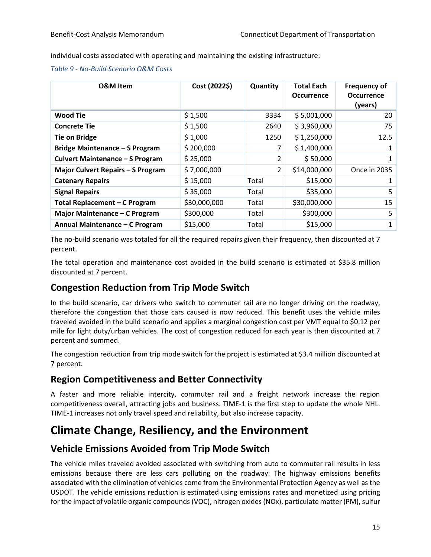individual costs associated with operating and maintaining the existing infrastructure:

<span id="page-17-1"></span>

| Table 9 - No-Build Scenario O&M Costs |  |
|---------------------------------------|--|
|---------------------------------------|--|

| <b>O&amp;M</b> Item                    | Cost (2022\$) | Quantity       | <b>Total Each</b><br><b>Occurrence</b> | <b>Frequency of</b><br><b>Occurrence</b><br>(years) |
|----------------------------------------|---------------|----------------|----------------------------------------|-----------------------------------------------------|
| <b>Wood Tie</b>                        | \$1,500       | 3334           | \$5,001,000                            | 20                                                  |
| <b>Concrete Tie</b>                    | \$1,500       | 2640           | \$3,960,000                            | 75                                                  |
| <b>Tie on Bridge</b>                   | \$1,000       | 1250           | \$1,250,000                            | 12.5                                                |
| Bridge Maintenance - S Program         | \$200,000     | 7              | \$1,400,000                            | 1                                                   |
| <b>Culvert Maintenance - S Program</b> | \$25,000      | $\overline{2}$ | \$50,000                               | 1                                                   |
| Major Culvert Repairs - S Program      | \$7,000,000   | 2              | \$14,000,000                           | Once in 2035                                        |
| <b>Catenary Repairs</b>                | \$15,000      | Total          | \$15,000                               | 1                                                   |
| <b>Signal Repairs</b>                  | \$35,000      | Total          | \$35,000                               | 5                                                   |
| Total Replacement - C Program          | \$30,000,000  | Total          | \$30,000,000                           | 15                                                  |
| Major Maintenance - C Program          | \$300,000     | Total          | \$300,000                              | 5                                                   |
| Annual Maintenance - C Program         | \$15,000      | Total          | \$15,000                               | 1                                                   |

The no-build scenario was totaled for all the required repairs given their frequency, then discounted at 7 percent.

The total operation and maintenance cost avoided in the build scenario is estimated at \$35.8 million discounted at 7 percent.

#### **Congestion Reduction from Trip Mode Switch**

In the build scenario, car drivers who switch to commuter rail are no longer driving on the roadway, therefore the congestion that those cars caused is now reduced. This benefit uses the vehicle miles traveled avoided in the build scenario and applies a marginal congestion cost per VMT equal to \$0.12 per mile for light duty/urban vehicles. The cost of congestion reduced for each year is then discounted at 7 percent and summed.

The congestion reduction from trip mode switch for the project is estimated at \$3.4 million discounted at 7 percent.

#### **Region Competitiveness and Better Connectivity**

A faster and more reliable intercity, commuter rail and a freight network increase the region competitiveness overall, attracting jobs and business. TIME-1 is the first step to update the whole NHL. TIME-1 increases not only travel speed and reliability, but also increase capacity.

## <span id="page-17-0"></span>**Climate Change, Resiliency, and the Environment**

#### **Vehicle Emissions Avoided from Trip Mode Switch**

The vehicle miles traveled avoided associated with switching from auto to commuter rail results in less emissions because there are less cars polluting on the roadway. The highway emissions benefits associated with the elimination of vehicles come from the Environmental Protection Agency as well as the USDOT. The vehicle emissions reduction is estimated using emissions rates and monetized using pricing for the impact of volatile organic compounds (VOC), nitrogen oxides(NOx), particulate matter (PM), sulfur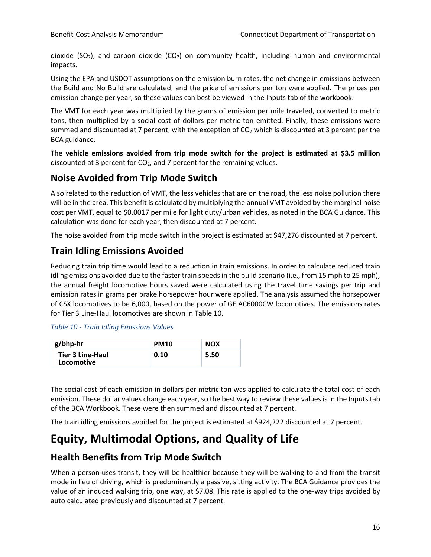dioxide (SO<sub>2</sub>), and carbon dioxide (CO<sub>2</sub>) on community health, including human and environmental impacts.

Using the EPA and USDOT assumptions on the emission burn rates, the net change in emissions between the Build and No Build are calculated, and the price of emissions per ton were applied. The prices per emission change per year, so these values can best be viewed in the Inputs tab of the workbook.

The VMT for each year was multiplied by the grams of emission per mile traveled, converted to metric tons, then multiplied by a social cost of dollars per metric ton emitted. Finally, these emissions were summed and discounted at 7 percent, with the exception of  $CO<sub>2</sub>$  which is discounted at 3 percent per the BCA guidance.

The **vehicle emissions avoided from trip mode switch for the project is estimated at \$3.5 million** discounted at 3 percent for  $CO<sub>2</sub>$ , and 7 percent for the remaining values.

## **Noise Avoided from Trip Mode Switch**

Also related to the reduction of VMT, the less vehicles that are on the road, the less noise pollution there will be in the area. This benefit is calculated by multiplying the annual VMT avoided by the marginal noise cost per VMT, equal to \$0.0017 per mile for light duty/urban vehicles, as noted in the BCA Guidance. This calculation was done for each year, then discounted at 7 percent.

The noise avoided from trip mode switch in the project is estimated at \$47,276 discounted at 7 percent.

#### **Train Idling Emissions Avoided**

Reducing train trip time would lead to a reduction in train emissions. In order to calculate reduced train idling emissions avoided due to the faster train speeds in the build scenario (i.e., from 15 mph to 25 mph), the annual freight locomotive hours saved were calculated using the travel time savings per trip and emission rates in grams per brake horsepower hour were applied. The analysis assumed the horsepower of CSX locomotives to be 6,000, based on the power of GE AC6000CW locomotives. The emissions rates for Tier 3 Line-Haul locomotives are shown in [Table](#page-18-1) 10.

#### <span id="page-18-1"></span>*Table 10 - Train Idling Emissions Values*

| g/bhp-hr                              | <b>PM10</b> | <b>NOX</b> |
|---------------------------------------|-------------|------------|
| <b>Tier 3 Line-Haul</b><br>Locomotive | 0.10        | 5.50       |

The social cost of each emission in dollars per metric ton was applied to calculate the total cost of each emission. These dollar values change each year, so the best way to review these values is in the Inputs tab of the BCA Workbook. These were then summed and discounted at 7 percent.

The train idling emissions avoided for the project is estimated at \$924,222 discounted at 7 percent.

## <span id="page-18-0"></span>**Equity, Multimodal Options, and Quality of Life**

## **Health Benefits from Trip Mode Switch**

When a person uses transit, they will be healthier because they will be walking to and from the transit mode in lieu of driving, which is predominantly a passive, sitting activity. The BCA Guidance provides the value of an induced walking trip, one way, at \$7.08. This rate is applied to the one-way trips avoided by auto calculated previously and discounted at 7 percent.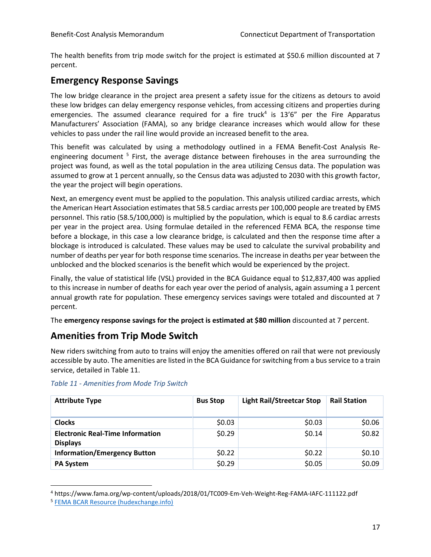The health benefits from trip mode switch for the project is estimated at \$50.6 million discounted at 7 percent.

#### **Emergency Response Savings**

The low bridge clearance in the project area present a safety issue for the citizens as detours to avoid these low bridges can delay emergency response vehicles, from accessing citizens and properties during emergencies. The assumed clearance required for a fire truck<sup>4</sup> is 13'6" per the Fire Apparatus Manufacturers' Association (FAMA), so any bridge clearance increases which would allow for these vehicles to pass under the rail line would provide an increased benefit to the area.

This benefit was calculated by using a methodology outlined in a FEMA Benefit-Cost Analysis Reengineering document <sup>5</sup> First, the average distance between firehouses in the area surrounding the project was found, as well as the total population in the area utilizing Census data. The population was assumed to grow at 1 percent annually, so the Census data was adjusted to 2030 with this growth factor, the year the project will begin operations.

Next, an emergency event must be applied to the population. This analysis utilized cardiac arrests, which the American Heart Association estimates that 58.5 cardiac arrests per 100,000 people are treated by EMS personnel. This ratio (58.5/100,000) is multiplied by the population, which is equal to 8.6 cardiac arrests per year in the project area. Using formulae detailed in the referenced FEMA BCA, the response time before a blockage, in this case a low clearance bridge, is calculated and then the response time after a blockage is introduced is calculated. These values may be used to calculate the survival probability and number of deaths per year for both response time scenarios. The increase in deaths per year between the unblocked and the blocked scenarios is the benefit which would be experienced by the project.

Finally, the value of statistical life (VSL) provided in the BCA Guidance equal to \$12,837,400 was applied to this increase in number of deaths for each year over the period of analysis, again assuming a 1 percent annual growth rate for population. These emergency services savings were totaled and discounted at 7 percent.

The **emergency response savings for the project is estimated at \$80 million** discounted at 7 percent.

## **Amenities from Trip Mode Switch**

New riders switching from auto to trains will enjoy the amenities offered on rail that were not previously accessible by auto. The amenities are listed in the BCA Guidance forswitching from a bus service to a train service, detailed in [Table](#page-19-0) 11.

| <b>Attribute Type</b>                                      | <b>Bus Stop</b> | <b>Light Rail/Streetcar Stop</b> | <b>Rail Station</b> |
|------------------------------------------------------------|-----------------|----------------------------------|---------------------|
| <b>Clocks</b>                                              | \$0.03          | \$0.03                           | \$0.06              |
| <b>Electronic Real-Time Information</b><br><b>Displays</b> | \$0.29          | \$0.14                           | \$0.82              |
| <b>Information/Emergency Button</b>                        | \$0.22          | \$0.22                           | \$0.10              |
| <b>PA System</b>                                           | \$0.29          | \$0.05                           | \$0.09              |

<span id="page-19-0"></span>*Table 11 - Amenities from Mode Trip Switch*

<sup>4</sup> https://www.fama.org/wp-content/uploads/2018/01/TC009-Em-Veh-Weight-Reg-FAMA-IAFC-111122.pdf

<sup>&</sup>lt;sup>5</sup> [FEMA BCAR Resource \(hudexchange.info\)](https://files.hudexchange.info/course-content/ndrc-nofa-benefit-cost-analysis-data-resources-and-expert-tips-webinar/FEMA-BCAR-Resource.pdf)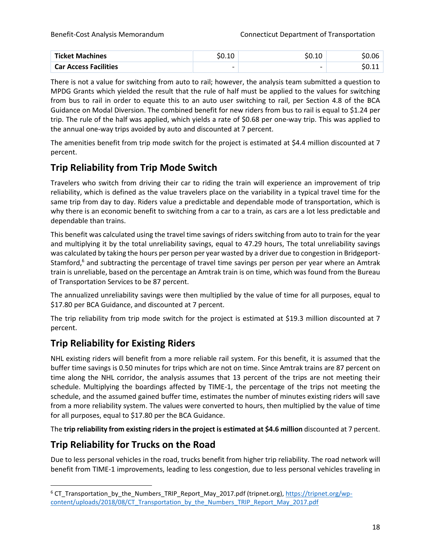| <b>Ticket Machines</b> | SO.10                    | S0.10 | \$0.06 |
|------------------------|--------------------------|-------|--------|
| Car Access Facilities  | $\overline{\phantom{0}}$ | -     | ,      |

There is not a value for switching from auto to rail; however, the analysis team submitted a question to MPDG Grants which yielded the result that the rule of half must be applied to the values for switching from bus to rail in order to equate this to an auto user switching to rail, per Section 4.8 of the BCA Guidance on Modal Diversion. The combined benefit for new riders from bus to rail is equal to \$1.24 per trip. The rule of the half was applied, which yields a rate of \$0.68 per one-way trip. This was applied to the annual one-way trips avoided by auto and discounted at 7 percent.

The amenities benefit from trip mode switch for the project is estimated at \$4.4 million discounted at 7 percent.

## **Trip Reliability from Trip Mode Switch**

Travelers who switch from driving their car to riding the train will experience an improvement of trip reliability, which is defined as the value travelers place on the variability in a typical travel time for the same trip from day to day. Riders value a predictable and dependable mode of transportation, which is why there is an economic benefit to switching from a car to a train, as cars are a lot less predictable and dependable than trains.

This benefit was calculated using the travel time savings of riders switching from auto to train for the year and multiplying it by the total unreliability savings, equal to 47.29 hours, The total unreliability savings was calculated by taking the hours per person per year wasted by a driver due to congestion in Bridgeport-Stamford,<sup>6</sup> and subtracting the percentage of travel time savings per person per year where an Amtrak train is unreliable, based on the percentage an Amtrak train is on time, which was found from the Bureau of Transportation Services to be 87 percent.

The annualized unreliability savings were then multiplied by the value of time for all purposes, equal to \$17.80 per BCA Guidance, and discounted at 7 percent.

The trip reliability from trip mode switch for the project is estimated at \$19.3 million discounted at 7 percent.

## **Trip Reliability for Existing Riders**

NHL existing riders will benefit from a more reliable rail system. For this benefit, it is assumed that the buffer time savings is 0.50 minutes for trips which are not on time. Since Amtrak trains are 87 percent on time along the NHL corridor, the analysis assumes that 13 percent of the trips are not meeting their schedule. Multiplying the boardings affected by TIME-1, the percentage of the trips not meeting the schedule, and the assumed gained buffer time, estimates the number of minutes existing riders will save from a more reliability system. The values were converted to hours, then multiplied by the value of time for all purposes, equal to \$17.80 per the BCA Guidance.

The **trip reliability from existing ridersin the project is estimated at \$4.6 million** discounted at 7 percent.

## **Trip Reliability for Trucks on the Road**

Due to less personal vehicles in the road, trucks benefit from higher trip reliability. The road network will benefit from TIME-1 improvements, leading to less congestion, due to less personal vehicles traveling in

<sup>&</sup>lt;sup>6</sup> CT\_Transportation\_by\_the\_Numbers\_TRIP\_Report\_May\_2017.pdf (tripnet.org), [https://tripnet.org/wp](https://tripnet.org/wp-content/uploads/2018/08/CT_Transportation_by_the_Numbers_TRIP_Report_May_2017.pdf)[content/uploads/2018/08/CT\\_Transportation\\_by\\_the\\_Numbers\\_TRIP\\_Report\\_May\\_2017.pdf](https://tripnet.org/wp-content/uploads/2018/08/CT_Transportation_by_the_Numbers_TRIP_Report_May_2017.pdf)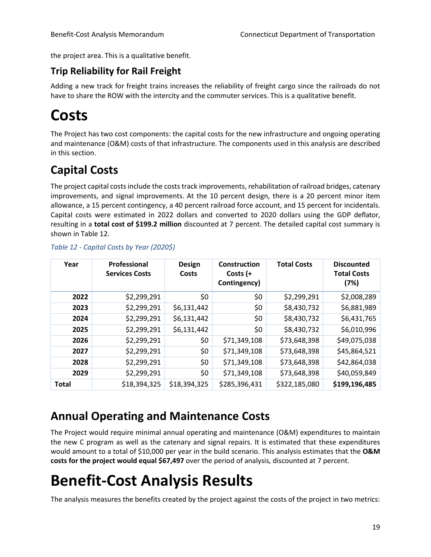the project area. This is a qualitative benefit.

## **Trip Reliability for Rail Freight**

Adding a new track for freight trains increases the reliability of freight cargo since the railroads do not have to share the ROW with the intercity and the commuter services. This is a qualitative benefit.

# <span id="page-21-0"></span>**Costs**

The Project has two cost components: the capital costs for the new infrastructure and ongoing operating and maintenance (O&M) costs of that infrastructure. The components used in this analysis are described in this section.

## <span id="page-21-1"></span>**Capital Costs**

The project capital costs include the costs track improvements, rehabilitation of railroad bridges, catenary improvements, and signal improvements. At the 10 percent design, there is a 20 percent minor item allowance, a 15 percent contingency, a 40 percent railroad force account, and 15 percent for incidentals. Capital costs were estimated in 2022 dollars and converted to 2020 dollars using the GDP deflator, resulting in a **total cost of \$199.2 million** discounted at 7 percent. The detailed capital cost summary is shown in [Table](#page-21-4) 12.

| Year         | Professional<br><b>Services Costs</b> | <b>Design</b><br>Costs | <b>Construction</b><br>Costs $(+)$<br>Contingency) | <b>Total Costs</b> | <b>Discounted</b><br><b>Total Costs</b><br>(7%) |
|--------------|---------------------------------------|------------------------|----------------------------------------------------|--------------------|-------------------------------------------------|
| 2022         | \$2,299,291                           | \$0                    | \$0                                                | \$2,299,291        | \$2,008,289                                     |
| 2023         | \$2,299,291                           | \$6,131,442            | \$0                                                | \$8,430,732        | \$6,881,989                                     |
| 2024         | \$2,299,291                           | \$6,131,442            | \$0                                                | \$8,430,732        | \$6,431,765                                     |
| 2025         | \$2,299,291                           | \$6,131,442            | \$0                                                | \$8,430,732        | \$6,010,996                                     |
| 2026         | \$2,299,291                           | \$0                    | \$71,349,108                                       | \$73,648,398       | \$49,075,038                                    |
| 2027         | \$2,299,291                           | \$0                    | \$71,349,108                                       | \$73,648,398       | \$45,864,521                                    |
| 2028         | \$2,299,291                           | \$0                    | \$71,349,108                                       | \$73,648,398       | \$42,864,038                                    |
| 2029         | \$2,299,291                           | \$0                    | \$71,349,108                                       | \$73,648,398       | \$40,059,849                                    |
| <b>Total</b> | \$18,394,325                          | \$18,394,325           | \$285,396,431                                      | \$322,185,080      | \$199,196,485                                   |

#### <span id="page-21-4"></span>*Table 12 - Capital Costs by Year (2020\$)*

## <span id="page-21-2"></span>**Annual Operating and Maintenance Costs**

The Project would require minimal annual operating and maintenance (O&M) expenditures to maintain the new C program as well as the catenary and signal repairs. It is estimated that these expenditures would amount to a total of \$10,000 per year in the build scenario. This analysis estimates that the **O&M costs for the project would equal \$67,497** over the period of analysis, discounted at 7 percent.

# <span id="page-21-3"></span>**Benefit-Cost Analysis Results**

The analysis measures the benefits created by the project against the costs of the project in two metrics: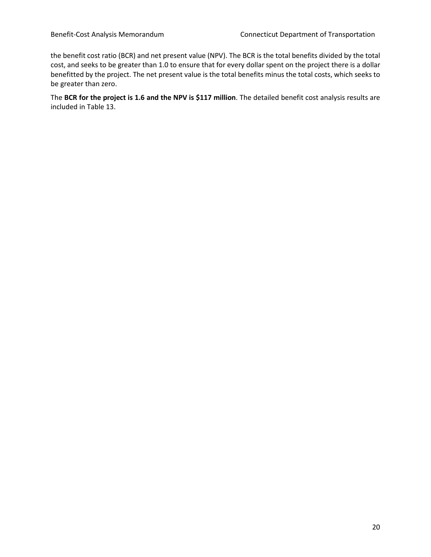the benefit cost ratio (BCR) and net present value (NPV). The BCR is the total benefits divided by the total cost, and seeks to be greater than 1.0 to ensure that for every dollar spent on the project there is a dollar benefitted by the project. The net present value is the total benefits minus the total costs, which seeks to be greater than zero.

The **BCR for the project is 1.6 and the NPV is \$117 million**. The detailed benefit cost analysis results are included in [Table](#page-23-0) 13.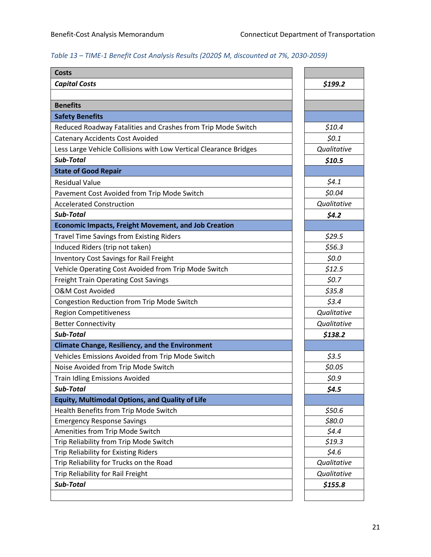#### <span id="page-23-0"></span>*Table 13 – TIME-1 Benefit Cost Analysis Results (2020\$ M, discounted at 7%, 2030-2059)*

| <b>Costs</b>                                                      |             |
|-------------------------------------------------------------------|-------------|
| <b>Capital Costs</b>                                              | \$199.2     |
|                                                                   |             |
| <b>Benefits</b>                                                   |             |
| <b>Safety Benefits</b>                                            |             |
| Reduced Roadway Fatalities and Crashes from Trip Mode Switch      | \$10.4      |
| <b>Catenary Accidents Cost Avoided</b>                            | \$0.1       |
| Less Large Vehicle Collisions with Low Vertical Clearance Bridges | Qualitative |
| Sub-Total                                                         | \$10.5      |
| <b>State of Good Repair</b>                                       |             |
| <b>Residual Value</b>                                             | 54.1        |
| Pavement Cost Avoided from Trip Mode Switch                       | \$0.04      |
| <b>Accelerated Construction</b>                                   | Qualitative |
| Sub-Total                                                         | \$4.2       |
| <b>Economic Impacts, Freight Movement, and Job Creation</b>       |             |
| <b>Travel Time Savings from Existing Riders</b>                   | \$29.5      |
| Induced Riders (trip not taken)                                   | \$56.3      |
| <b>Inventory Cost Savings for Rail Freight</b>                    | \$0.0       |
| Vehicle Operating Cost Avoided from Trip Mode Switch              | \$12.5      |
| <b>Freight Train Operating Cost Savings</b>                       | \$0.7       |
| <b>O&amp;M Cost Avoided</b>                                       | \$35.8      |
| Congestion Reduction from Trip Mode Switch                        | \$3.4       |
| <b>Region Competitiveness</b>                                     | Qualitative |
| <b>Better Connectivity</b>                                        | Qualitative |
| Sub-Total                                                         | \$138.2     |
| <b>Climate Change, Resiliency, and the Environment</b>            |             |
| Vehicles Emissions Avoided from Trip Mode Switch                  | \$3.5       |
| Noise Avoided from Trip Mode Switch                               | \$0.05      |
| Train Idling Emissions Avoided                                    | \$0.9       |
| Sub-Total                                                         | \$4.5       |
| <b>Equity, Multimodal Options, and Quality of Life</b>            |             |
| Health Benefits from Trip Mode Switch                             | \$50.6      |
| <b>Emergency Response Savings</b>                                 | \$80.0      |
| Amenities from Trip Mode Switch                                   | \$4.4       |
| Trip Reliability from Trip Mode Switch                            | \$19.3      |
| <b>Trip Reliability for Existing Riders</b>                       | \$4.6       |
| Trip Reliability for Trucks on the Road                           | Qualitative |
| Trip Reliability for Rail Freight                                 | Qualitative |
| Sub-Total                                                         | \$155.8     |
|                                                                   |             |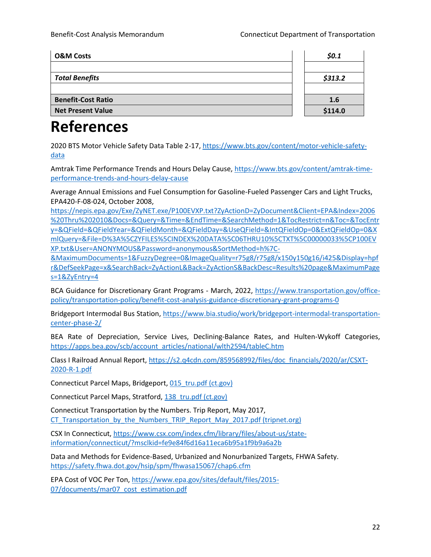| <b>O&amp;M Costs</b>      | \$0.1   |
|---------------------------|---------|
|                           |         |
| <b>Total Benefits</b>     | \$313.2 |
|                           |         |
| <b>Benefit-Cost Ratio</b> | 1.6     |
| <b>Net Present Value</b>  | \$114.0 |

# <span id="page-24-0"></span>**References**

2020 BTS Motor Vehicle Safety Data Table 2-17, [https://www.bts.gov/content/motor-vehicle-safety](https://www.bts.gov/content/motor-vehicle-safety-data)[data](https://www.bts.gov/content/motor-vehicle-safety-data)

Amtrak Time Performance Trends and Hours Delay Cause, [https://www.bts.gov/content/amtrak-time](https://www.bts.gov/content/amtrak-time-performance-trends-and-hours-delay-cause)[performance-trends-and-hours-delay-cause](https://www.bts.gov/content/amtrak-time-performance-trends-and-hours-delay-cause)

Average Annual Emissions and Fuel Consumption for Gasoline-Fueled Passenger Cars and Light Trucks, EPA420-F-08-024, October 2008,

[https://nepis.epa.gov/Exe/ZyNET.exe/P100EVXP.txt?ZyActionD=ZyDocument&Client=EPA&Index=2006](https://nepis.epa.gov/Exe/ZyNET.exe/P100EVXP.txt?ZyActionD=ZyDocument&Client=EPA&Index=2006%20Thru%202010&Docs=&Query=&Time=&EndTime=&SearchMethod=1&TocRestrict=n&Toc=&TocEntry=&QField=&QFieldYear=&QFieldMonth=&QFieldDay=&UseQField=&IntQFieldOp=0&ExtQFieldOp=0&XmlQuery=&File=D%3A%5CZYFILES%5CINDEX%20DATA%5C06THRU10%5CTXT%5C00000033%5CP100EVXP.txt&User=ANONYMOUS&Password=anonymous&SortMethod=h%7C-&MaximumDocuments=1&FuzzyDegree=0&ImageQuality=r75g8/r75g8/x150y150g16/i425&Display=hpfr&DefSeekPage=x&SearchBack=ZyActionL&Back=ZyActionS&BackDesc=Results%20page&MaximumPages=1&ZyEntry=4) [%20Thru%202010&Docs=&Query=&Time=&EndTime=&SearchMethod=1&TocRestrict=n&Toc=&TocEntr](https://nepis.epa.gov/Exe/ZyNET.exe/P100EVXP.txt?ZyActionD=ZyDocument&Client=EPA&Index=2006%20Thru%202010&Docs=&Query=&Time=&EndTime=&SearchMethod=1&TocRestrict=n&Toc=&TocEntry=&QField=&QFieldYear=&QFieldMonth=&QFieldDay=&UseQField=&IntQFieldOp=0&ExtQFieldOp=0&XmlQuery=&File=D%3A%5CZYFILES%5CINDEX%20DATA%5C06THRU10%5CTXT%5C00000033%5CP100EVXP.txt&User=ANONYMOUS&Password=anonymous&SortMethod=h%7C-&MaximumDocuments=1&FuzzyDegree=0&ImageQuality=r75g8/r75g8/x150y150g16/i425&Display=hpfr&DefSeekPage=x&SearchBack=ZyActionL&Back=ZyActionS&BackDesc=Results%20page&MaximumPages=1&ZyEntry=4) [y=&QField=&QFieldYear=&QFieldMonth=&QFieldDay=&UseQField=&IntQFieldOp=0&ExtQFieldOp=0&X](https://nepis.epa.gov/Exe/ZyNET.exe/P100EVXP.txt?ZyActionD=ZyDocument&Client=EPA&Index=2006%20Thru%202010&Docs=&Query=&Time=&EndTime=&SearchMethod=1&TocRestrict=n&Toc=&TocEntry=&QField=&QFieldYear=&QFieldMonth=&QFieldDay=&UseQField=&IntQFieldOp=0&ExtQFieldOp=0&XmlQuery=&File=D%3A%5CZYFILES%5CINDEX%20DATA%5C06THRU10%5CTXT%5C00000033%5CP100EVXP.txt&User=ANONYMOUS&Password=anonymous&SortMethod=h%7C-&MaximumDocuments=1&FuzzyDegree=0&ImageQuality=r75g8/r75g8/x150y150g16/i425&Display=hpfr&DefSeekPage=x&SearchBack=ZyActionL&Back=ZyActionS&BackDesc=Results%20page&MaximumPages=1&ZyEntry=4) [mlQuery=&File=D%3A%5CZYFILES%5CINDEX%20DATA%5C06THRU10%5CTXT%5C00000033%5CP100EV](https://nepis.epa.gov/Exe/ZyNET.exe/P100EVXP.txt?ZyActionD=ZyDocument&Client=EPA&Index=2006%20Thru%202010&Docs=&Query=&Time=&EndTime=&SearchMethod=1&TocRestrict=n&Toc=&TocEntry=&QField=&QFieldYear=&QFieldMonth=&QFieldDay=&UseQField=&IntQFieldOp=0&ExtQFieldOp=0&XmlQuery=&File=D%3A%5CZYFILES%5CINDEX%20DATA%5C06THRU10%5CTXT%5C00000033%5CP100EVXP.txt&User=ANONYMOUS&Password=anonymous&SortMethod=h%7C-&MaximumDocuments=1&FuzzyDegree=0&ImageQuality=r75g8/r75g8/x150y150g16/i425&Display=hpfr&DefSeekPage=x&SearchBack=ZyActionL&Back=ZyActionS&BackDesc=Results%20page&MaximumPages=1&ZyEntry=4) [XP.txt&User=ANONYMOUS&Password=anonymous&SortMethod=h%7C-](https://nepis.epa.gov/Exe/ZyNET.exe/P100EVXP.txt?ZyActionD=ZyDocument&Client=EPA&Index=2006%20Thru%202010&Docs=&Query=&Time=&EndTime=&SearchMethod=1&TocRestrict=n&Toc=&TocEntry=&QField=&QFieldYear=&QFieldMonth=&QFieldDay=&UseQField=&IntQFieldOp=0&ExtQFieldOp=0&XmlQuery=&File=D%3A%5CZYFILES%5CINDEX%20DATA%5C06THRU10%5CTXT%5C00000033%5CP100EVXP.txt&User=ANONYMOUS&Password=anonymous&SortMethod=h%7C-&MaximumDocuments=1&FuzzyDegree=0&ImageQuality=r75g8/r75g8/x150y150g16/i425&Display=hpfr&DefSeekPage=x&SearchBack=ZyActionL&Back=ZyActionS&BackDesc=Results%20page&MaximumPages=1&ZyEntry=4)

[&MaximumDocuments=1&FuzzyDegree=0&ImageQuality=r75g8/r75g8/x150y150g16/i425&Display=hpf](https://nepis.epa.gov/Exe/ZyNET.exe/P100EVXP.txt?ZyActionD=ZyDocument&Client=EPA&Index=2006%20Thru%202010&Docs=&Query=&Time=&EndTime=&SearchMethod=1&TocRestrict=n&Toc=&TocEntry=&QField=&QFieldYear=&QFieldMonth=&QFieldDay=&UseQField=&IntQFieldOp=0&ExtQFieldOp=0&XmlQuery=&File=D%3A%5CZYFILES%5CINDEX%20DATA%5C06THRU10%5CTXT%5C00000033%5CP100EVXP.txt&User=ANONYMOUS&Password=anonymous&SortMethod=h%7C-&MaximumDocuments=1&FuzzyDegree=0&ImageQuality=r75g8/r75g8/x150y150g16/i425&Display=hpfr&DefSeekPage=x&SearchBack=ZyActionL&Back=ZyActionS&BackDesc=Results%20page&MaximumPages=1&ZyEntry=4) [r&DefSeekPage=x&SearchBack=ZyActionL&Back=ZyActionS&BackDesc=Results%20page&MaximumPage](https://nepis.epa.gov/Exe/ZyNET.exe/P100EVXP.txt?ZyActionD=ZyDocument&Client=EPA&Index=2006%20Thru%202010&Docs=&Query=&Time=&EndTime=&SearchMethod=1&TocRestrict=n&Toc=&TocEntry=&QField=&QFieldYear=&QFieldMonth=&QFieldDay=&UseQField=&IntQFieldOp=0&ExtQFieldOp=0&XmlQuery=&File=D%3A%5CZYFILES%5CINDEX%20DATA%5C06THRU10%5CTXT%5C00000033%5CP100EVXP.txt&User=ANONYMOUS&Password=anonymous&SortMethod=h%7C-&MaximumDocuments=1&FuzzyDegree=0&ImageQuality=r75g8/r75g8/x150y150g16/i425&Display=hpfr&DefSeekPage=x&SearchBack=ZyActionL&Back=ZyActionS&BackDesc=Results%20page&MaximumPages=1&ZyEntry=4) [s=1&ZyEntry=4](https://nepis.epa.gov/Exe/ZyNET.exe/P100EVXP.txt?ZyActionD=ZyDocument&Client=EPA&Index=2006%20Thru%202010&Docs=&Query=&Time=&EndTime=&SearchMethod=1&TocRestrict=n&Toc=&TocEntry=&QField=&QFieldYear=&QFieldMonth=&QFieldDay=&UseQField=&IntQFieldOp=0&ExtQFieldOp=0&XmlQuery=&File=D%3A%5CZYFILES%5CINDEX%20DATA%5C06THRU10%5CTXT%5C00000033%5CP100EVXP.txt&User=ANONYMOUS&Password=anonymous&SortMethod=h%7C-&MaximumDocuments=1&FuzzyDegree=0&ImageQuality=r75g8/r75g8/x150y150g16/i425&Display=hpfr&DefSeekPage=x&SearchBack=ZyActionL&Back=ZyActionS&BackDesc=Results%20page&MaximumPages=1&ZyEntry=4)

BCA Guidance for Discretionary Grant Programs - March, 2022, [https://www.transportation.gov/office](https://www.transportation.gov/office-policy/transportation-policy/benefit-cost-analysis-guidance-discretionary-grant-programs-0)[policy/transportation-policy/benefit-cost-analysis-guidance-discretionary-grant-programs-0](https://www.transportation.gov/office-policy/transportation-policy/benefit-cost-analysis-guidance-discretionary-grant-programs-0)

Bridgeport Intermodal Bus Station, [https://www.bia.studio/work/bridgeport-intermodal-transportation](https://www.bia.studio/work/bridgeport-intermodal-transportation-center-phase-2/)[center-phase-2/](https://www.bia.studio/work/bridgeport-intermodal-transportation-center-phase-2/)

BEA Rate of Depreciation, Service Lives, Declining-Balance Rates, and Hulten-Wykoff Categories, [https://apps.bea.gov/scb/account\\_articles/national/wlth2594/tableC.htm](https://apps.bea.gov/scb/account_articles/national/wlth2594/tableC.htm)

Class I Railroad Annual Report, [https://s2.q4cdn.com/859568992/files/doc\\_financials/2020/ar/CSXT-](https://s2.q4cdn.com/859568992/files/doc_financials/2020/ar/CSXT-2020-R-1.pdf)[2020-R-1.pdf](https://s2.q4cdn.com/859568992/files/doc_financials/2020/ar/CSXT-2020-R-1.pdf)

Connecticut Parcel Maps, Bridgeport, [015\\_tru.pdf \(ct.gov\)](https://portal.ct.gov/-/media/DOT/documents/dpolicy/policymaps/tru/pdf/015_tru.pdf)

Connecticut Parcel Maps, Stratford[, 138\\_tru.pdf \(ct.gov\)](https://portal.ct.gov/-/media/DOT/documents/dpolicy/policymaps/tru/pdf/138_tru.pdf)

Connecticut Transportation by the Numbers. Trip Report, May 2017, CT Transportation by the Numbers TRIP Report May 2017.pdf (tripnet.org)

CSX In Connecticut, [https://www.csx.com/index.cfm/library/files/about-us/state](https://www.csx.com/index.cfm/library/files/about-us/state-information/connecticut/?msclkid=fe9e84f6d16a11eca6b95a1f9b9a6a2b)[information/connecticut/?msclkid=fe9e84f6d16a11eca6b95a1f9b9a6a2b](https://www.csx.com/index.cfm/library/files/about-us/state-information/connecticut/?msclkid=fe9e84f6d16a11eca6b95a1f9b9a6a2b)

Data and Methods for Evidence-Based, Urbanized and Nonurbanized Targets, FHWA Safety. <https://safety.fhwa.dot.gov/hsip/spm/fhwasa15067/chap6.cfm>

EPA Cost of VOC Per Ton, [https://www.epa.gov/sites/default/files/2015-](https://www.epa.gov/sites/default/files/2015-07/documents/mar07_cost_estimation.pdf) [07/documents/mar07\\_cost\\_estimation.pdf](https://www.epa.gov/sites/default/files/2015-07/documents/mar07_cost_estimation.pdf)